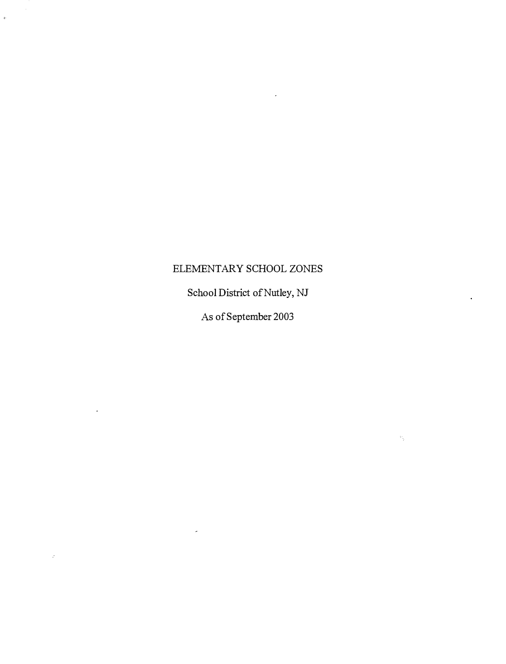# ELEMENTARY SCHOOL ZONES

 $\ddot{v}$ 

 $\mathcal{I}$ 

School District of Nutley, NJ

As of September 2003

 $\psi_{\rm{p}}$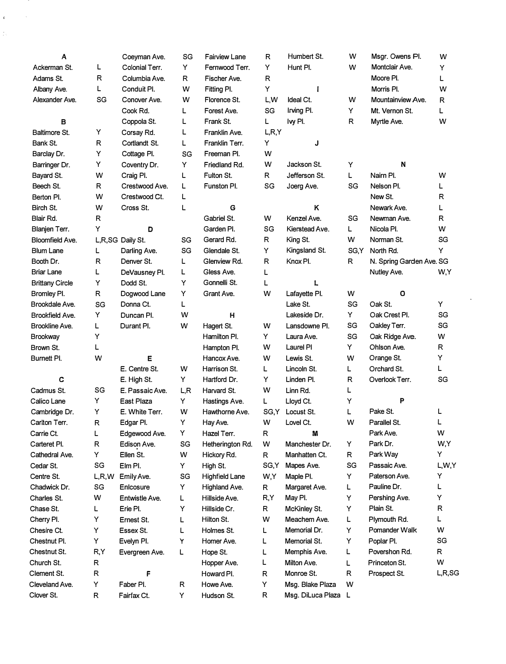| Α                      |              | Coeyman Ave.     | SG  | <b>Fairview Lane</b>  | R       | Humbert St.         | W    | Msgr. Owens Pl.          | w      |
|------------------------|--------------|------------------|-----|-----------------------|---------|---------------------|------|--------------------------|--------|
| Ackerman St.           | L            | Colonial Terr.   | Y   | Fernwood Terr.        | Y       | Hunt Pl.            | W    | Montclair Ave.           | Y      |
| Adams St.              | R            | Columbia Ave.    | R.  | Fischer Ave.          | R       |                     |      | Moore Pl.                | Г      |
| Albany Ave.            | L            | Conduit Pl.      | w   | Fitting Pl.           | Y       | $\mathbf{I}$        |      | Morris Pl.               | W      |
| Alexander Ave.         | SG           | Conover Ave.     | w   | Florence St.          | L,W     | Ideal Ct.           | w    | Mountainview Ave.        | R      |
|                        |              | Cook Rd.         | L   | Forest Ave.           | SG      | Irving PI.          | Y    | Mt. Vernon St.           | L      |
| в                      |              | Coppola St.      | L   | Frank St.             | L       | lvy Pl.             | R    | Myrtle Ave.              | W      |
| Baltimore St.          | Y            | Corsay Rd.       | L   | Franklin Ave.         | L, R, Y |                     |      |                          |        |
| Bank St.               | R            | Cortlandt St.    | Г   | Franklin Terr.        | Y       | J                   |      |                          |        |
| Barclay Dr.            | Υ            | Cottage Pl.      | SG  | Freeman PI.           | W       |                     |      |                          |        |
| Barringer Dr.          | Y            | Coventry Dr.     | Y   | Friedland Rd.         | w       | Jackson St.         | Υ    | N                        |        |
| Bayard St.             | w            | Craig Pl.        | L   | Fulton St.            | R.      | Jefferson St.       | L    | Nairn Pl.                | w      |
| Beech St.              | R            | Crestwood Ave.   | L   | Funston Pl.           | SG      | Joerg Ave.          | SG   | Nelson Pl.               | L      |
| Berton Pl.             | W            | Crestwood Ct.    | L   |                       |         |                     |      | New St.                  | R      |
| Birch St.              | w            | Cross St.        | L   | G                     |         | κ                   |      | Newark Ave.              | L      |
| Blair Rd.              | R            |                  |     | Gabriel St.           | w       | Kenzel Ave.         | SG   | Newman Ave.              | R      |
| Blanjen Terr.          | Υ            | D                |     | Garden Pl.            | SG      | Kierstead Ave.      | Г    | Nicola PI.               | W      |
| Bloomfield Ave.        |              | L,R,SG Daily St. | SG  | Gerard Rd.            | R       | King St.            | W    | Norman St.               | SG     |
| <b>Blum Lane</b>       | L            | Darling Ave.     | SG  | Glendale St.          | Y       | Kingsland St.       | SG,Y | North Rd.                | Y      |
| Booth Dr.              | $\mathsf{R}$ | Denver St.       | L   | Glenview Rd.          | R       | Knox Pl.            | R    | N. Spring Garden Ave. SG |        |
| <b>Briar Lane</b>      | L            | DeVausney Pl.    | L   | Gless Ave.            | L       |                     |      | Nutley Ave.              | W,Y    |
| <b>Brittany Circle</b> | Y            | Dodd St.         | Y   | Gonnelli St.          | L       | $\mathbf{L}$        |      |                          |        |
| Bromley Pl.            | R            | Dogwood Lane     | Y   | Grant Ave.            | W       | Lafayette Pl.       | W    | О                        |        |
| Brookdale Ave.         | SG           | Donna Ct.        | L   |                       |         | Lake St.            | SG   | Oak St.                  | Y      |
| <b>Brookfield Ave.</b> | Y            | Duncan Pl.       | w   | н                     |         | Lakeside Dr.        | Y    | Oak Crest Pl.            | SG     |
| Brookline Ave.         | L            | Durant Pl.       | w   | Hagert St.            | w       | Lansdowne PI.       | SG   | Oakley Terr.             | SG     |
| Brookway               | Υ            |                  |     | Hamilton Pl.          | Y       | Laura Ave.          | SG   | Oak Ridge Ave.           | W      |
| Brown St.              | L            |                  |     | Hampton Pl.           | w       | Laurel PI           | Y    | Ohlson Ave.              | R      |
| Burnett Pl.            | w            | E                |     | Hancox Ave.           | w       | Lewis St.           | W    | Orange St.               | Υ      |
|                        |              | E. Centre St.    | w   | Harrison St.          | L       | Lincoln St.         | Г    | Orchard St.              | L      |
| C                      |              | E. High St.      | Y   | Hartford Dr.          | Y       | Linden Pl.          | R    | Overlook Terr.           | SG     |
| Cadmus St.             | SG           | E. Passaic Ave.  | L,R | Harvard St.           | W       | Linn Rd.            | L    |                          |        |
| Calico Lane            | Υ            | East Plaza       | Y   | Hastings Ave.         | L       | Lloyd Ct.           | Υ    | P                        |        |
| Cambridge Dr.          | Υ            | E. White Terr.   | W   | Hawthorne Ave.        | SG,Y    | Locust St.          | Г    | Pake St.                 | L      |
| Carlton Terr.          | R            | Edgar Pl.        | Y   | Hay Ave.              | W       | Lovel Ct.           | W    | Parallel St.             | L      |
| Carrie Ct.             | L            | Edgewood Ave.    | Y   | Hazel Terr.           | R       | M                   |      | Park Ave.                | w      |
| Carteret Pl.           | R            | Edison Ave.      | SG  | Hetherington Rd.      | w       | Manchester Dr.      | Y    | Park Dr.                 | W,Y    |
| Cathedral Ave.         | Υ            | Ellen St.        | w   | Hickory Rd.           | R       | Manhatten Ct.       | R    | Park Way                 | Y      |
| Cedar St.              | SG           | Elm Pl.          | Y   | High St.              | SG,Y    | Mapes Ave.          | SG   | Passaic Ave.             | L,W,Y  |
| Centre St.             | L,R,W        | Emily Ave.       | SG  | <b>Highfield Lane</b> | W,Y     | Maple PI.           | Y    | Paterson Ave.            | Y      |
| Chadwick Dr.           | SG           | Enlcosure        | Y   | Highland Ave.         | R       | Margaret Ave.       | L    | Pauline Dr.              | L      |
| Charles St.            | W            | Entwistle Ave.   | L   | Hillside Ave.         | R,Y     | May Pl.             | Y    | Pershing Ave.            | Y      |
| Chase St.              | L            | Erie Pl.         | Υ   | Hillside Cr.          | R       | McKinley St.        | Y    | Plain St.                | R      |
| Cherry Pl.             | Υ            | Ernest St.       | L   | Hilton St.            | w       | Meachem Ave.        | L    | Plymouth Rd.             | L      |
| Chesire Ct.            | Υ            | Essex St.        | L   | Holmes St.            | L       | Memorial Dr.        | Y    | Pomander Walk            | w      |
| Chestnut Pl.           | Υ            | Evelyn Pl.       | Y   | Homer Ave.            | L       | Memorial St.        | Υ    | Poplar Pl.               | SG     |
| Chestnut St.           | R,Y          | Evergreen Ave.   | L   | Hope St.              | L       | Memphis Ave.        | L    | Povershon Rd.            | R      |
| Church St.             | R            |                  |     | Hopper Ave.           | L       | Milton Ave.         | Г    | Princeton St.            | W      |
| Clement St.            | R            | F                |     | Howard PI.            | R       | Monroe St.          | R    | Prospect St.             | L,R,SG |
| Cleveland Ave.         | Y            | Faber Pl.        | R   | Howe Ave.             | Y       | Msg. Blake Plaza    | w    |                          |        |
| Clover St.             | R            | Fairfax Ct.      | Y   | Hudson St.            | R       | Msg. DiLuca Plaza L |      |                          |        |
|                        |              |                  |     |                       |         |                     |      |                          |        |

 $\label{eq:2.1} \begin{aligned} \Psi_{\alpha\beta} &= \frac{1}{\beta} \, \frac{1}{\beta} \, , \end{aligned}$   $\begin{aligned} \begin{aligned} \n\Phi_{\alpha\beta} &= \frac{1}{\beta} \, , \end{aligned} \end{aligned}$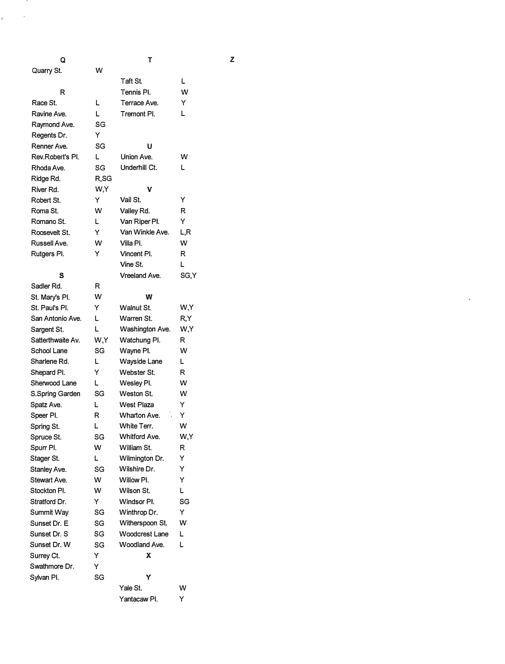| Q                 |      | т                     |       | z |
|-------------------|------|-----------------------|-------|---|
| Quarry St.        | w    |                       |       |   |
|                   |      | Taft St.              | L     |   |
| R                 |      | Tennis Pl.            | w     |   |
| Race St.          | L    | Terrace Ave.          | Y     |   |
| Ravine Ave.       | L    | Tremont PI.           | L     |   |
| Raymond Ave.      | SG   |                       |       |   |
| Regents Dr.       | Y    |                       |       |   |
| Renner Ave.       | SG   | υ                     |       |   |
| Rev.Robert's Pl.  | L    | Union Ave.            | w     |   |
| Rhoda Ave.        | SG   | Underhill Ct.         | L     |   |
| Ridge Rd.         | R,SG |                       |       |   |
| River Rd.         | W,Y  | ۷                     |       |   |
| Robert St.        | Υ    | Vail St.              | Y     |   |
| Roma St.          | w    | Valley Rd.            | R     |   |
| Romano St.        | L    | Van Riper Pl.         | Y     |   |
| Roosevelt St.     | Y    | Van Winkle Ave.       | L,R   |   |
| Russell Ave.      | w    | Villa PI.             | w     |   |
| Rutgers Pl.       | Y    | Vincent Pl.           | R     |   |
|                   |      | Vine St.              | L     |   |
| s                 |      | Vreeland Ave.         | SG, Y |   |
| Sadler Rd.        | R    |                       |       |   |
| St. Mary's Pl.    | w    | w                     |       |   |
| St. Paul's Pl.    | Y    | Walnut St.            | W,Y   |   |
| San Antonio Ave.  | L    | Warren St.            | R,Y   |   |
| Sargent St.       | L    | Washington Ave.       | W,Y   |   |
| Satterthwaite Av. | W,Y  | Watchung Pl.          | R     |   |
| School Lane       | SG   | Wayne PI.             | w     |   |
| Sharlene Rd.      | L    | <b>Wayside Lane</b>   | L     |   |
| Shepard Pl.       | Y    | Webster St.           | R     |   |
| Sherwood Lane     | L    | Wesley Pl.            | w     |   |
| S.Spring Garden   | SG   | Weston St.            | w     |   |
| Spatz Ave.        | L    | West Plaza            | Y     |   |
| Speer PI.         | R    | Wharton Ave.          | Y     |   |
| Spring St.        | L    | White Terr.           | w     |   |
| Spruce St.        | SG   | Whitford Ave.         | W,Y   |   |
| Spurr Pl.         | W    | William St.           | R     |   |
| Stager St.        | L.   | Wilmington Dr.        | Y     |   |
| Stanley Ave.      | SG   | Wilshire Dr.          | Y     |   |
| Stewart Ave.      | w    | Willow PI.            | Y     |   |
| Stockton PI.      | w    | Wilson St.            | L     |   |
| Stratford Dr.     | Y    | Windsor PI.           | SG    |   |
| Summit Wav        | SG   | Winthrop Dr.          | Y     |   |
| Sunset Dr. E      | SG   | Witherspoon St.       | w     |   |
| Sunset Dr. S      | SG   | <b>Woodcrest Lane</b> | L     |   |
| Sunset Dr. W      | SG   | Woodland Ave.         | L     |   |
| Surrey Ct.        | Y    | х                     |       |   |
| Swathmore Dr.     | Y    |                       |       |   |
| Sylvan Pl.        | SG   | Y                     |       |   |
|                   |      | Yale St.              | w     |   |
|                   |      | Yantacaw Pl.          | Y     |   |
|                   |      |                       |       |   |

. .

 $\lambda$ 

 $\mathbf{z}^{\dagger}$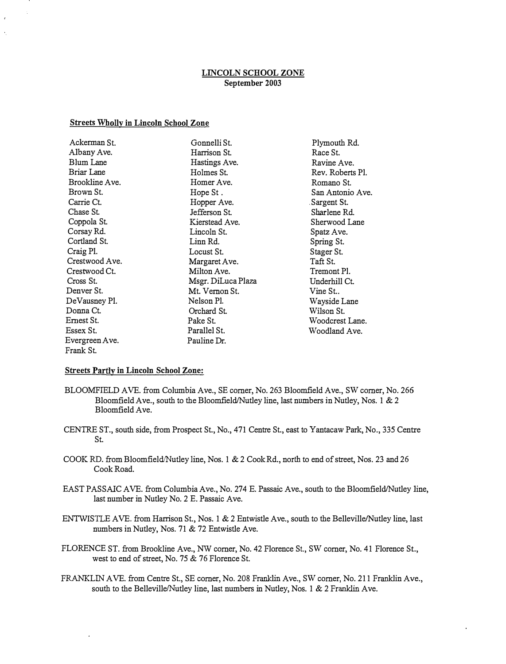## LINCOLN SCHOOL ZONE September 2003

#### Streets Wholly in Lincoln School Zone

| Ackerman St.   | Gonnelli St.       |
|----------------|--------------------|
| Albany Ave.    | Harrison St.       |
| Blum Lane      | Hastings Ave.      |
| Briar Lane     | Holmes St.         |
| Brookline Ave. | Homer Ave.         |
| Brown St.      | Hope St .          |
| Carrie Ct.     | Hopper Ave.        |
| Chase St.      | Jefferson St.      |
| Coppola St.    | Kierstead Ave.     |
| Corsay Rd.     | Lincoln St.        |
| Cortland St.   | Linn Rd.           |
| Craig Pl.      | Locust St.         |
| Crestwood Ave. | Margaret Ave.      |
| Crestwood Ct.  | Milton Ave.        |
| Cross St.      | Msgr. DiLuca Plaza |
| Denver St.     | Mt. Vernon St.     |
| DeVausney Pl.  | Nelson Pl.         |
| Donna Ct.      | Orchard St.        |
| Ernest St.     | Pake St.           |
| Essex St.      | Parallel St.       |
| Evergreen Ave. | Pauline Dr.        |
| Frank St.      |                    |

Plymouth Rd. Race St. Ravine Ave. Rev. Roberts Pl. Romano St. San Antonio Ave. Sargent St. Sharlene Rd. Sherwood Lane Spatz Ave. Spring St. Stager St. Taft St. Tremont Pl. Underhill Ct. Vine St.. Wayside Lane Wilson St. Woodcrest Lane. Woodland Ave.

#### **Streets Partly in Lincoln School Zone:**

- BLOOMFIELD AVE. from Columbia Ave., SE corner, No. 263 Bloomfield Ave., SW corner, No. 266 Bloomfield Ave., south to the Bloomfield/Nutley line, last numbers in Nutley, Nos. 1 & 2 Bloomfield Ave.
- CENTRE ST., south side, from Prospect St., No., 471 Centre St., east to Yantacaw Park, No., 335 Centre St.
- COOK RD. from Bloomfield/Nutley line, Nos. 1 & 2 Cook Rd., north to end of street, Nos. 23 and 26 Cook Road.
- EAST PASSAIC AVE. from Columbia Ave., No. 274 E. Passaic Ave., south to the Bloomfield/Nutley line, last number in Nutley No.2 E. Passaic Ave.
- ENTWISTLE AVE. from Harrison St., Nos. 1  $\&$  2 Entwistle Ave., south to the Belleville/Nutley line, last numbers in Nutley, Nos. 71 & 72 Entwistle Ave.
- FLORENCE ST. from Brookline Ave., NW comer, No. 42 Florence St., SW comer, No. 41 Florence St., west to end of street, No. 75 & 76 Florence St.
- FRANKLIN AVE. from Centre St., SE corner, No. 208 Franklin Ave., SW corner, No. 211 Franklin Ave., south to the Belleville/Nutley line, last numbers in Nutley, Nos. 1 & 2 Franklin Ave.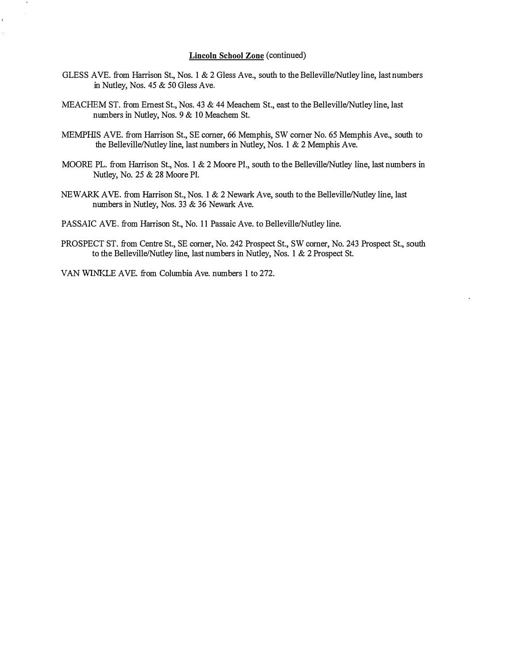#### Lincoln School Zone (continued)

- GLESS AVE. from Harrison St., Nos. 1 & 2 Gless Ave., south to the Belleville/Nutley line, last numbers in Nutley, Nos. 45 & 50 Gless Ave.
- MEACHEM ST. from Ernest St., Nos. 43 & 44 Meachem St., east to the Belleville/Nutley line, last numbers in Nutley, Nos. 9 & 10 Meachem St.
- MEMPHIS AYE. from Harison St., SE comer, 66 Memphis, SW comer No. 65 Memphis Ave., south to the Belleville/Nutley line, last numbers in Nutley, Nos. 1 & 2 Memphis Ave.
- MOORE PL. from Harrison St., Nos. 1 & 2 Moore Pl., south to the Belleville/Nutley line, last numbers in Nutley, No. 25 & 28 Moore PI.
- NEWARK AVE. from Harrison St., Nos. 1 & 2 Newark Ave, south to the Belleville/Nutley line, last numbers in Nutley, Nos. 33 & 36 Newark Ave.

PASSAIC AVE. from Harrison St., No. 11 Passaic Ave. to Belleville/Nutley line.

PROSPECT ST. from Centre St., SE comer, No. 242 Prospect St., SW comer, No. 243 Prospect St., south to the Belleville/Nutley line, last numbers in Nutley, Nos. 1 & 2 Prospect St.

VAN WINKLE AYE. from Columbia Ave. numbers 1 to 272 .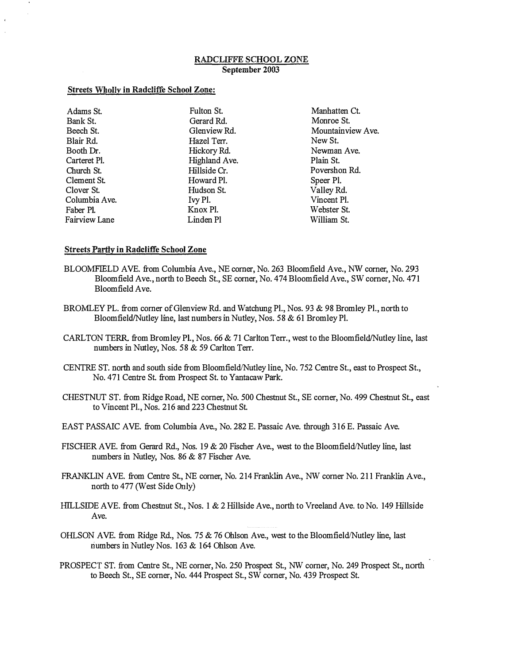## RADCLIFFE SCHOOL ZONE September 2003

#### Streets Wholly in Radcliffe School Zone:

| Adams St.     | Fulton St.    | Manhatten Ct.     |
|---------------|---------------|-------------------|
| Bank St.      | Gerard Rd.    | Monroe St.        |
| Beech St.     | Glenview Rd.  | Mountainview Ave. |
| Blair Rd.     | Hazel Terr.   | New St.           |
| Booth Dr.     | Hickory Rd.   | Newman Ave.       |
| Carteret Pl.  | Highland Ave. | Plain St.         |
| Church St.    | Hillside Cr.  | Povershon Rd.     |
| Clement St.   | Howard Pl.    | Speer Pl.         |
| Clover St.    | Hudson St.    | Valley Rd.        |
| Columbia Ave. | Ivy Pl.       | Vincent Pl.       |
| Faber Pl.     | Knox Pl.      | Webster St.       |
| Fairview Lane | Linden Pl     | William St.       |

## Streets Partly in Radcliffe School Zone

- BLOOMFIELD AVE. from Columbia Ave., NE corner, No. 263 Bloomfield Ave., NW comer, No. 293 Bloomfield Ave., north to Beech St., SE corner, No. 474 Bloomfield Ave., SW comer, No. 471 Bloomfield Ave.
- BROMLEY PL. from corner of Glenview Rd. and Watchung PI., Nos. 93 & 98 Bromley PI., north to Bloomfield/Nutley line, last numbers in Nutley, Nos. 58 & 61 Bromley Pl.
- CARLTON TERR. from Bromley Pl., Nos. 66 & 71 Carlton Terr., west to the Bloomfield/Nutley line, last numbers in Nutley, Nos. 58 & 59 Carlton Terr.
- CENTRE ST. north and south side from Bloomfield/Nutley line, No. 752 Centre St., east to Prospect St., No. 471 Centre St. from Prospect St. to Yantacaw Park.
- CHESTNUT ST. from Ridge Road, NE corner, No. 500 Chestnut St., SE corner, No. 499 Chestnut St., east to Vincent PI., Nos. 216 and 223 Chestnut St.
- EAST PASSAIC AVE. from Columbia Ave., No. 282 E. Passaic Ave. through 316 E. Passaic Ave.
- FISCHER AVE. from Gerard Rd., Nos. 19 & 20 Fischer Ave., west to the Bloomfield/Nutley line, last numbers in Nutley, Nos. 86 & 87 Fischer Ave.
- FRANKLIN AVE. from Centre St., NE corner, No. 214 Franklin Ave., NW corner No. 211 Franklin Ave., north to 477 (West Side Only)
- HILLSIDE AVE. from Chestnut St., Nos. 1 & 2 Hillside Ave., north to Vreeland Ave. to No. 149 Hillside Ave.
- OHLSON AVE. from Ridge Rd., Nos. 75  $& 76$  Ohlson Ave., west to the Bloomfield/Nutley line, last riumbers in Nutley Nos. 163 & 164 Ohlson Ave.
- PROSPECT ST. from Centre St., NE corner, No. 250 Prospect St., NW corner, No. 249 Prospect St., north to Beech St., SE corner, No. 444 Prospect St., SW corner, No. 439 Prospect St.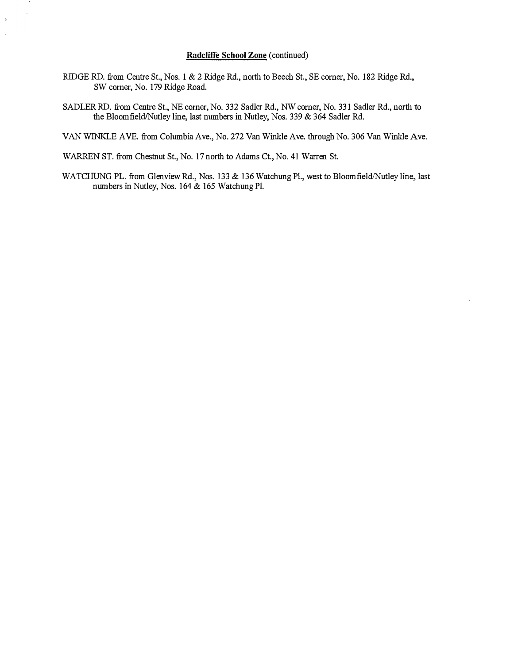# Radcliffe School Zone (continued)

- RIDGE RD. from Centre St., Nos. 1 & 2 Ridge Rd., north to Beech St., SE comer, No. 182 Ridge Rd., SW comer, No. 179 Ridge Road.
- SADLER RD. from Centre St., NE comer, No. 332 Sadler Rd., NW comer, No. 331 Sadler Rd., north to the Bloomfield/Nutley line, last numbers in Nutley, Nos. 339 & 364 Sadler Rd.

VAN WINKLE AYE. from Columbia Ave., No. 272 Van Winkle Ave. through No. 306 Van Winkle Ave.

WAREN ST. from Chestnut St., No. 17 north to Adams Ct., No. 41 Waren St.

 $\boldsymbol{b}$  $\bar{\mathbb{C}}$ 

> WATCHUNG PL. from Glenview Rd., Nos. 133 & 136 Watchung Pl., west to Bloomfield/Nutley line, last numbers in Nutley, Nos. 164 & 165 Watchung Pl.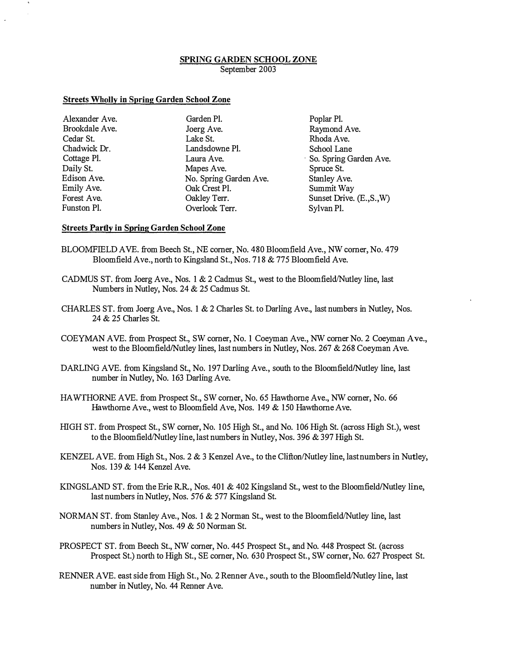## SPRING GARDEN SCHOOL ZONE September 2003

#### Streets Wholly in Spring Garden School Zone

Alexander Ave. Brookdale Ave. Cedar St. Chadwick Dr. Cottage PI. Daily St. Edison Ave. Emily Ave. Forest Ave. Funston PI.

Garden PI. Joerg Ave. Lake St. Landsdowne PI. Laura Ave. Mapes Ave. No. Spring Garden Ave. Oak Crest PI. Oakley Terr. Overlook Ter.

Poplar PI. Raymond Ave. Rhoda Ave. School Lane . So. Spring Garden Ave. Spruce St. Stanley Ave. Summit Way Sunset Drive. (E.,S.,W) Sylvan PI.

## Streets Partly in Spring Garden School Zone

- BLOOMFIELD AVE. from Beech St., NE comer, No. 480 Bloomfield Ave., NW comer, No. 479 Bloomfield Ave., north to Kingsland St., Nos. 718 & 775 Bloomfield Ave.
- CADMUS ST. from Joerg Ave., Nos. 1  $& 2$  Cadmus St., west to the Bloomfield/Nutley line, last Numbers in Nutley, Nos. 24 & 25 Cadmus St.
- CHARLES ST. from Joerg Ave., Nos. 1  $&2$  Charles St. to Darling Ave., last numbers in Nutley, Nos. 24 & 25 Charles st.
- COEYMAN AVE. from Prospect St., SW comer, No.1 Coeyman Ave., NW comer No.2 Coeyman Ave., west to the Bloomfield/Nutley lines, last numbers in Nutley, Nos. 267 & 268 Coeyman Ave.
- DARLING AVE. from Kingsland St., No. 197 Darling Ave., south to the Bloomfield/Nutley line, last number in Nutley, No. 163 Darling Ave.
- HAWTHORNE AVE. from Prospect St., SW comer, No. 65 Hawthorne Ave., NW comer, No. 66 Hawthorne Ave., west to Bloomfield Ave, Nos. 149 & 150 Hawthorne Ave.
- HIGH ST. from Prospect St., SW comer, No. 105 High St., and No. 106 High St. (across High St.), west to the Bloomfield/Nutley line, last numbers in Nutley, Nos. 396 & 397 High St.
- KENZEL AVE. from High St., Nos. 2  $\&$  3 Kenzel Ave., to the Clifton/Nutley line, last numbers in Nutley, Nos. 139 & 144 Kenzel Ave.
- KINGSLAND ST. from the Erie R.R., Nos.  $401 \& 402$  Kingsland St., west to the Bloomfield/Nutley line, last numbers in Nutley, Nos. 576 & 577 Kingsland St.
- NORMAN ST. from Stanley Ave., Nos. 1  $\&$  2 Norman St., west to the Bloomfield/Nutley line, last numbers in Nutley, Nos. 49 & 50 Norman St.
- PROSPECT ST. from Beech St., NW comer, No. 445 Prospect St., and No. 448 Prospect st. (across Prospect St.) north to High St., SE comer, No. 630 Prospect St., SW comer, No. 627 Prospect St.
- RENNER AVE. east side from High St., No. 2 Renner Ave., south to the Bloomfield/Nutley line, last number in Nutley, No. 44 Renner Ave.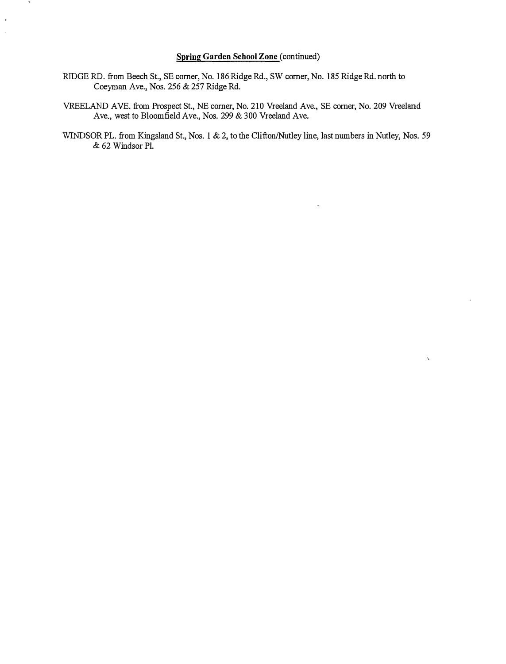# Spring Garden School Zone (continued)

- RIDGE RD. from Beech St., SE comer, No. 186 Ridge Rd., SW comer, No. 185 Ridge Rd. north to Coeyrnan Ave., Nos. 256 & 257 Ridge Rd.
- VREELAND AVE. from Prospect St., NE comer, No. 210 Vreeland Ave., SE comer, No. 209 Vreeland Ave., west to Bloomfield Ave., Nos. 299 & 300 Vreeland Ave.
- WINDSOR PL. from Kingsland St., Nos. 1 & 2, to the Clifton/Nutley line, last numbers in Nutley, Nos. 59 & 62 Windsor PI.

 $\bar{\boldsymbol{\chi}}$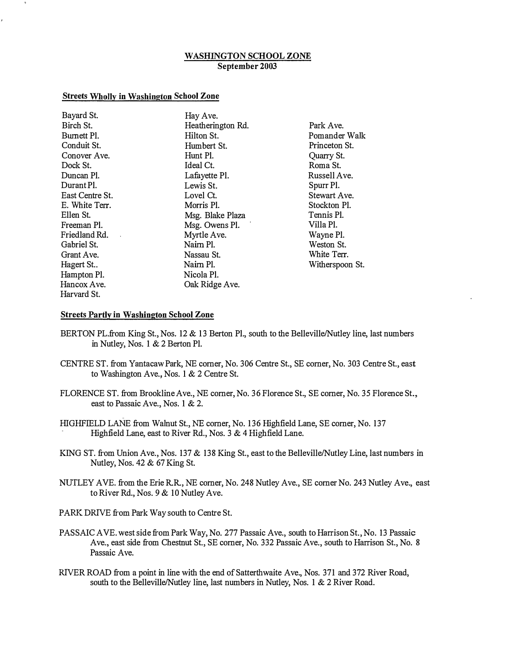# WASHINGTON SCHOOL ZONE September 2003

#### Streets Wholly in Washington School Zone

| Bayard St.      | Hay Ave.          |             |
|-----------------|-------------------|-------------|
| Birch St.       | Heatherington Rd. | Park Ave.   |
| Burnett Pl.     | Hilton St.        | Pomander    |
| Conduit St.     | Humbert St.       | Princeton 9 |
| Conover Ave.    | Hunt Pl.          | Quarry St.  |
| Dock St.        | Ideal Ct.         | Roma St.    |
| Duncan Pl.      | Lafayette Pl.     | Russell Av  |
| Durant Pl.      | Lewis St.         | Spurr Pl.   |
| East Centre St. | Lovel Ct.         | Stewart Ay  |
| E. White Terr.  | Morris Pl.        | Stockton P  |
| Ellen St.       | Msg. Blake Plaza  | Tennis Pl.  |
| Freeman Pl.     | Msg. Owens Pl.    | Villa Pl.   |
| Friedland Rd.   | Myrtle Ave.       | Wayne Pl.   |
| Gabriel St.     | Naim Pl.          | Weston St.  |
| Grant Ave.      | Nassau St.        | White Terr  |
| Hagert St       | Naim Pl.          | Witherspoo  |
| Hampton Pl.     | Nicola Pl.        |             |
| Hancox Ave.     | Oak Ridge Ave.    |             |
| Harvard St.     |                   |             |
|                 |                   |             |

Pomander Walk Princeton St. Roma St. Russell Ave. Stewart Ave. Stockton Pl. Wayne Pl. Weston St. White Terr. Witherspoon St.

#### **Streets Partly in Washington School Zone**

- BERTON PL.from King St., Nos. 12 & 13 Berton Pl., south to the Belleville/Nutley line, last numbers in Nutley, Nos. 1 & 2 Berton PI.
- CENTRE ST. from Yantacaw Park, NE corner, No. 306 Centre St., SE corner, No. 303 Centre St., east to Washington Ave., Nos. 1 & 2 Centre St.
- FLORENCE ST. from Brookline Ave., NE corner, No. 36 Florence St., SE corner, No. 35 Florence St., east to Passaic Ave., Nos. 1 & 2.
- HIGHFIELD LANE from Walnut St., NE corner, No. 136 Highfield Lane, SE corner, No. 137 Highfield Lane, east to River Rd., Nos. 3 & 4 Highfield Lane.
- KING ST. from Union Ave., Nos. 137 & 138 King St., east to the Belleville/Nutley Line, last numbers in Nutley, Nos. 42 & 67 King St.
- NUTLEY AYE. from the Erie RR, NE corner, No. 248 Nutley Ave., SE corner No. 243 Nutley Ave., east to River Rd., Nos. 9 & 10 Nutley Ave.

PARK DRIVE from Park Way south to Centre St.

- PASSAIC AYE. west side from Park Way, No. 277 Passaic Ave., south to Harrison St., No. 13 Passaic Ave., east side from Chestnut St., SE corner, No. 332 Passaic Ave., south to Harrison St., No. 8 Passaic Ave.
- RIVER ROAD from a point in line with the end of Satterthwaite Ave., Nos. 371 and 372 River Road, south to the Belleville/Nutley line, last numbers in Nutley, Nos. 1 & 2 River Road.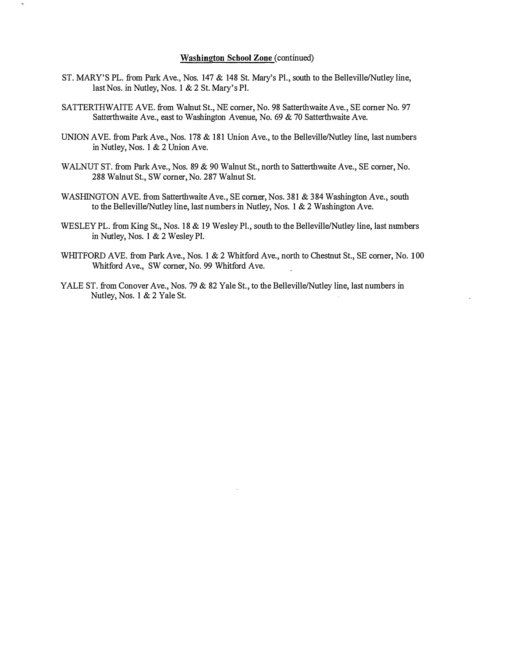## Washington School Zone (continued)

- ST. MARY'S PL. from Park Ave., Nos. 147 & 148 St. Mary's Pl., south to the Belleville/Nutley line, last Nos. in Nutley, Nos. 1 & 2 st. Mary's PI.
- SATTERTHWAlTE AYE. from Walnut St., NE comer, No. 98 Satterthwaite Ave., SE comer No. 97 Satterthwaite Ave., east to Washington Avenue, No. 69 & 70 Satterthwaite Ave.
- UNION AVE. from Park Ave., Nos. 178  $&$  181 Union Ave., to the Belleville/Nutley line, last numbers in Nutley, Nos. 1 & 2 Union Ave.
- WALNUT ST. from Park Ave., Nos. 89 & 90 Walnut St., north to Satterthwaite Ave., SE comer, No. 288 Walnut St., SW comer, No. 287 Walnut St.
- WASHINGTON AYE. from Satterthwaite Ave., SE comer, Nos. 381 & 384 Washington Ave., south to the Belleville/Nutley line, last numbers in Nutley, Nos. 1 & 2 Washington Ave.
- WESLEY PL. from King St., Nos. 18 & 19 Wesley Pl., south to the Belleville/Nutley line, last numbers in Nutley, Nos. 1 & 2 Wesley PI.
- WHITFORD AVE. from Park Ave., Nos. 1 & 2 Whitford Ave., north to Chestnut St., SE corner, No. 100 Whitford Ave., SW comer, No. 99 Whitford Ave.
- YALE ST. from Conover Ave., Nos. 79 & 82 Yale St., to the Belleville/Nutley line, last numbers in Nutley, Nos. 1 & 2 Yale St.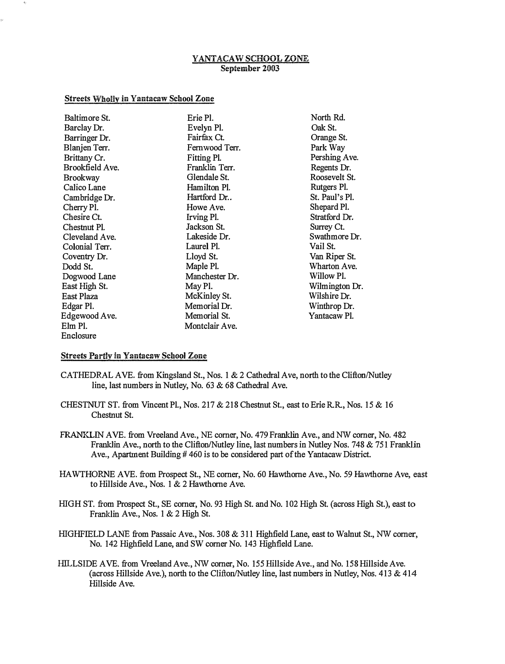# YANTACAW SCHOOL ZONE September 2003

# Streets Wholly in Yantacaw School Zone

| Baltimore St.   | Erie Pl.       | North Rd.      |
|-----------------|----------------|----------------|
| Barclay Dr.     | Evelyn Pl.     | Oak St.        |
|                 |                |                |
| Barringer Dr.   | Fairfax Ct.    | Orange St.     |
| Blanjen Terr.   | Fernwood Terr. | Park Way       |
| Brittany Cr.    | Fitting Pl.    | Pershing Ave.  |
| Brookfield Ave. | Franklin Terr. | Regents Dr.    |
| <b>Brookway</b> | Glendale St.   | Roosevelt St.  |
| Calico Lane     | Hamilton Pl.   | Rutgers Pl.    |
| Cambridge Dr.   | Hartford Dr    | St. Paul's Pl. |
| Cherry Pl.      | Howe Ave.      | Shepard Pl.    |
| Chesire Ct.     | Irving Pl.     | Stratford Dr.  |
| Chestnut Pl.    | Jackson St.    | Surrey Ct.     |
| Cleveland Ave.  | Lakeside Dr.   | Swathmore Dr.  |
| Colonial Terr.  | Laurel Pl.     | Vail St.       |
| Coventry Dr.    | Lloyd St.      | Van Riper St.  |
| Dodd St.        | Maple Pl.      | Wharton Ave.   |
| Dogwood Lane    | Manchester Dr. | Willow Pl.     |
| East High St.   | May Pl.        | Wilmington Dr. |
| East Plaza      | McKinley St.   | Wilshire Dr.   |
| Edgar Pl.       | Memorial Dr.   | Winthrop Dr.   |
| Edgewood Ave.   | Memorial St.   | Yantacaw Pl.   |
| Elm Pl.         | Montclair Ave. |                |
| Enclosure       |                |                |

# Streets Partly in Yantacaw School Zone

- CATHEDRAL AVE. from Kingsland St., Nos. 1 & 2 Cathedral Ave, north to the Clifton/Nutley line, last numbers in Nutley, No. 63 & 68 Cathedral Ave.
- CHESTNUT ST. from Vincent PI., Nos. 217 & 218 Chestnut St., east to Erie RR, Nos. 15 & 16 Chestnut St.
- FRANKLIN AYE. from Vreeland Ave., NE comer, No. 479 Franklin Ave., and NW comer, No. 482 Franklin Ave., north to the Clifton/Nutley line, last numbers in Nutley Nos. 748 & 751 Franklin Ave., Apartment Building # 460 is to be considered part of the Yantacaw District.
- HA WTHORNE AYE. from Prospect St., NE comer, No. 60 Hawthorne Ave., No. 59 Hawthorne Ave, east to Hillside Ave., Nos. 1 & 2 Hawthorne Ave.
- HIGH ST. from Prospect St., SE comer, No. 93 High St. and No. 102 High st. (across High St.), east to Franklin Ave., Nos. 1 & 2 High St.
- HIGHFIELD LANE from Passaic Ave., Nos. 308 & 311 Highfield Lane, east to Walnut St., NW comer, No. 142 Highfield Lane, and SW comer No. 143 Highfield Lane.
- HILLSIDE AVE. from Vreeland Ave., NW corner, No. 155 Hillside Ave., and No. 158 Hillside Ave. (across Hillside Ave.), north to the Clifton/Nutley line, last numbers in Nutley, Nos.  $413 \& 414$ Hillside Ave.